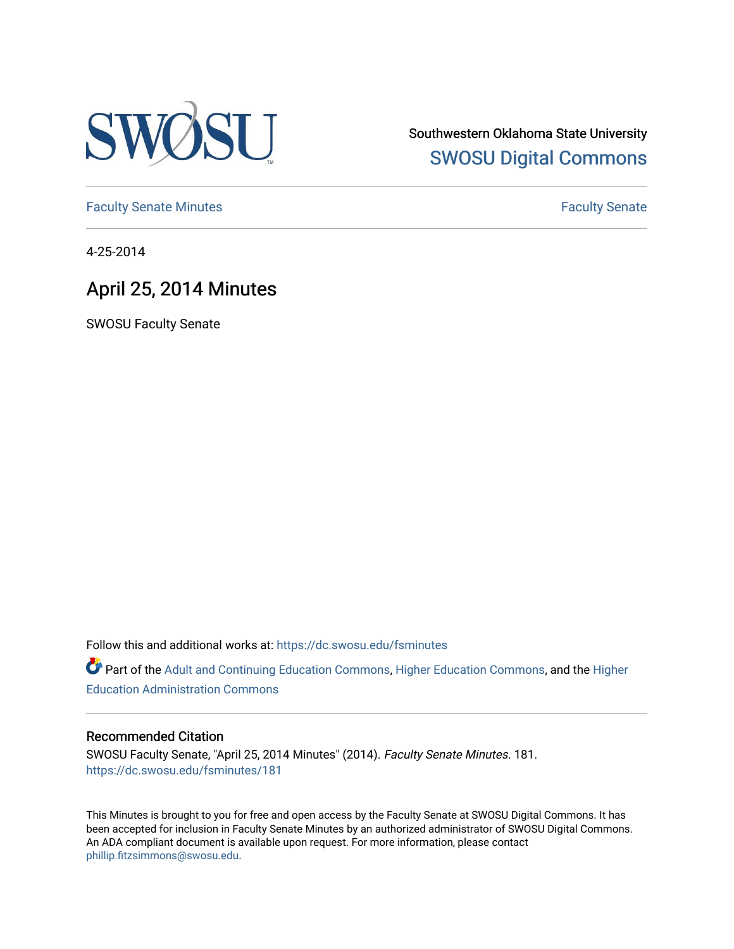

Southwestern Oklahoma State University [SWOSU Digital Commons](https://dc.swosu.edu/) 

[Faculty Senate Minutes](https://dc.swosu.edu/fsminutes) **Faculty** Senate Minutes

4-25-2014

# April 25, 2014 Minutes

SWOSU Faculty Senate

Follow this and additional works at: [https://dc.swosu.edu/fsminutes](https://dc.swosu.edu/fsminutes?utm_source=dc.swosu.edu%2Ffsminutes%2F181&utm_medium=PDF&utm_campaign=PDFCoverPages) 

Part of the [Adult and Continuing Education Commons,](http://network.bepress.com/hgg/discipline/1375?utm_source=dc.swosu.edu%2Ffsminutes%2F181&utm_medium=PDF&utm_campaign=PDFCoverPages) [Higher Education Commons,](http://network.bepress.com/hgg/discipline/1245?utm_source=dc.swosu.edu%2Ffsminutes%2F181&utm_medium=PDF&utm_campaign=PDFCoverPages) and the [Higher](http://network.bepress.com/hgg/discipline/791?utm_source=dc.swosu.edu%2Ffsminutes%2F181&utm_medium=PDF&utm_campaign=PDFCoverPages) [Education Administration Commons](http://network.bepress.com/hgg/discipline/791?utm_source=dc.swosu.edu%2Ffsminutes%2F181&utm_medium=PDF&utm_campaign=PDFCoverPages) 

#### Recommended Citation

SWOSU Faculty Senate, "April 25, 2014 Minutes" (2014). Faculty Senate Minutes. 181. [https://dc.swosu.edu/fsminutes/181](https://dc.swosu.edu/fsminutes/181?utm_source=dc.swosu.edu%2Ffsminutes%2F181&utm_medium=PDF&utm_campaign=PDFCoverPages) 

This Minutes is brought to you for free and open access by the Faculty Senate at SWOSU Digital Commons. It has been accepted for inclusion in Faculty Senate Minutes by an authorized administrator of SWOSU Digital Commons. An ADA compliant document is available upon request. For more information, please contact [phillip.fitzsimmons@swosu.edu](mailto:phillip.fitzsimmons@swosu.edu).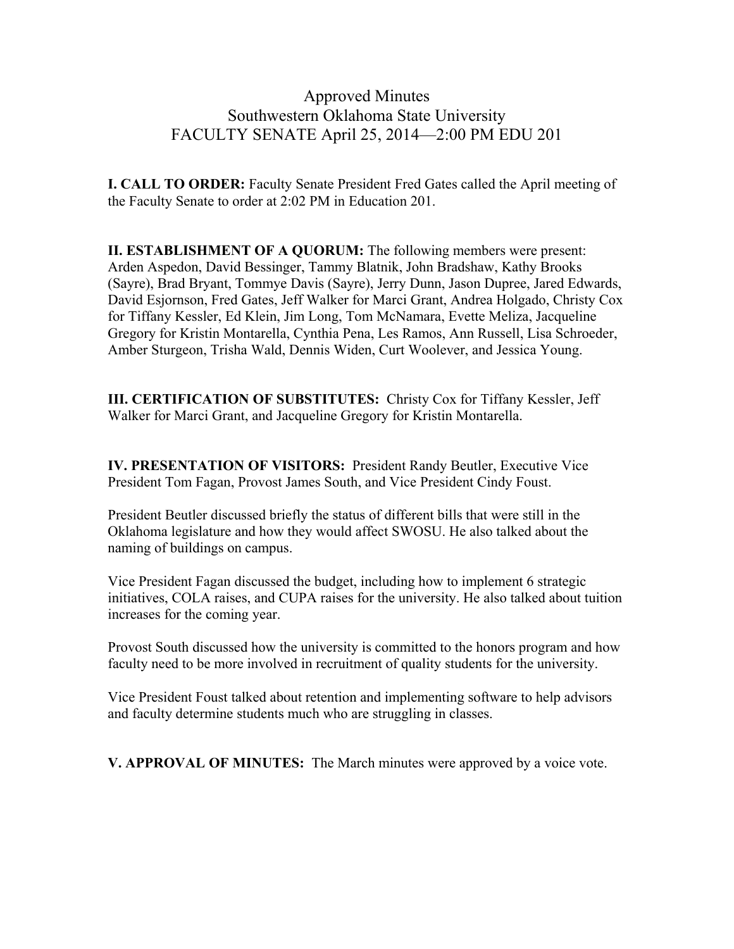## Approved Minutes Southwestern Oklahoma State University FACULTY SENATE April 25, 2014—2:00 PM EDU 201

**I. CALL TO ORDER:** Faculty Senate President Fred Gates called the April meeting of the Faculty Senate to order at 2:02 PM in Education 201.

**II. ESTABLISHMENT OF A QUORUM:** The following members were present: Arden Aspedon, David Bessinger, Tammy Blatnik, John Bradshaw, Kathy Brooks (Sayre), Brad Bryant, Tommye Davis (Sayre), Jerry Dunn, Jason Dupree, Jared Edwards, David Esjornson, Fred Gates, Jeff Walker for Marci Grant, Andrea Holgado, Christy Cox for Tiffany Kessler, Ed Klein, Jim Long, Tom McNamara, Evette Meliza, Jacqueline Gregory for Kristin Montarella, Cynthia Pena, Les Ramos, Ann Russell, Lisa Schroeder, Amber Sturgeon, Trisha Wald, Dennis Widen, Curt Woolever, and Jessica Young.

**III. CERTIFICATION OF SUBSTITUTES:** Christy Cox for Tiffany Kessler, Jeff Walker for Marci Grant, and Jacqueline Gregory for Kristin Montarella.

**IV. PRESENTATION OF VISITORS:** President Randy Beutler, Executive Vice President Tom Fagan, Provost James South, and Vice President Cindy Foust.

President Beutler discussed briefly the status of different bills that were still in the Oklahoma legislature and how they would affect SWOSU. He also talked about the naming of buildings on campus.

Vice President Fagan discussed the budget, including how to implement 6 strategic initiatives, COLA raises, and CUPA raises for the university. He also talked about tuition increases for the coming year.

Provost South discussed how the university is committed to the honors program and how faculty need to be more involved in recruitment of quality students for the university.

Vice President Foust talked about retention and implementing software to help advisors and faculty determine students much who are struggling in classes.

**V. APPROVAL OF MINUTES:** The March minutes were approved by a voice vote.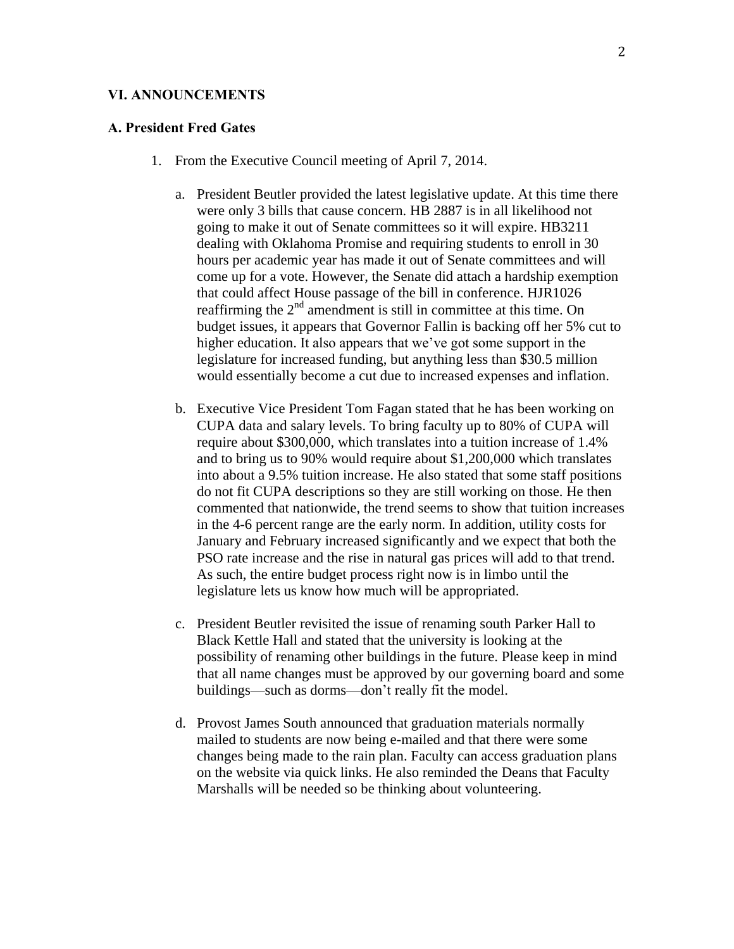#### **VI. ANNOUNCEMENTS**

#### **A. President Fred Gates**

- 1. From the Executive Council meeting of April 7, 2014.
	- a. President Beutler provided the latest legislative update. At this time there were only 3 bills that cause concern. HB 2887 is in all likelihood not going to make it out of Senate committees so it will expire. HB3211 dealing with Oklahoma Promise and requiring students to enroll in 30 hours per academic year has made it out of Senate committees and will come up for a vote. However, the Senate did attach a hardship exemption that could affect House passage of the bill in conference. HJR1026 reaffirming the 2<sup>nd</sup> amendment is still in committee at this time. On budget issues, it appears that Governor Fallin is backing off her 5% cut to higher education. It also appears that we've got some support in the legislature for increased funding, but anything less than \$30.5 million would essentially become a cut due to increased expenses and inflation.
	- b. Executive Vice President Tom Fagan stated that he has been working on CUPA data and salary levels. To bring faculty up to 80% of CUPA will require about \$300,000, which translates into a tuition increase of 1.4% and to bring us to 90% would require about \$1,200,000 which translates into about a 9.5% tuition increase. He also stated that some staff positions do not fit CUPA descriptions so they are still working on those. He then commented that nationwide, the trend seems to show that tuition increases in the 4-6 percent range are the early norm. In addition, utility costs for January and February increased significantly and we expect that both the PSO rate increase and the rise in natural gas prices will add to that trend. As such, the entire budget process right now is in limbo until the legislature lets us know how much will be appropriated.
	- c. President Beutler revisited the issue of renaming south Parker Hall to Black Kettle Hall and stated that the university is looking at the possibility of renaming other buildings in the future. Please keep in mind that all name changes must be approved by our governing board and some buildings—such as dorms—don't really fit the model.
	- d. Provost James South announced that graduation materials normally mailed to students are now being e-mailed and that there were some changes being made to the rain plan. Faculty can access graduation plans on the website via quick links. He also reminded the Deans that Faculty Marshalls will be needed so be thinking about volunteering.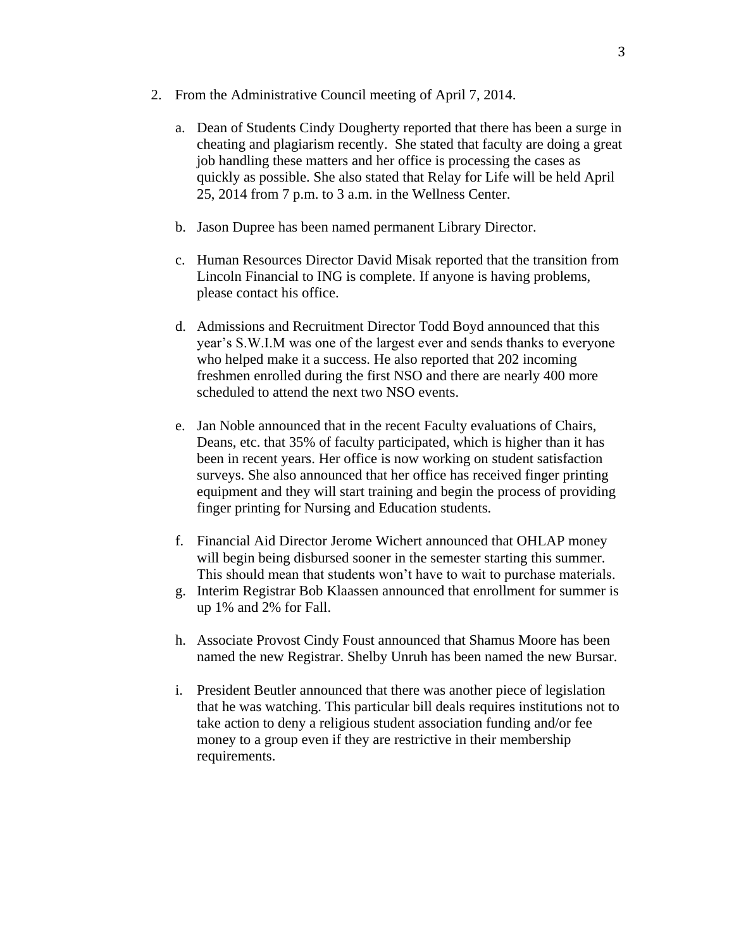- 2. From the Administrative Council meeting of April 7, 2014.
	- a. Dean of Students Cindy Dougherty reported that there has been a surge in cheating and plagiarism recently. She stated that faculty are doing a great job handling these matters and her office is processing the cases as quickly as possible. She also stated that Relay for Life will be held April 25, 2014 from 7 p.m. to 3 a.m. in the Wellness Center.
	- b. Jason Dupree has been named permanent Library Director.
	- c. Human Resources Director David Misak reported that the transition from Lincoln Financial to ING is complete. If anyone is having problems, please contact his office.
	- d. Admissions and Recruitment Director Todd Boyd announced that this year's S.W.I.M was one of the largest ever and sends thanks to everyone who helped make it a success. He also reported that 202 incoming freshmen enrolled during the first NSO and there are nearly 400 more scheduled to attend the next two NSO events.
	- e. Jan Noble announced that in the recent Faculty evaluations of Chairs, Deans, etc. that 35% of faculty participated, which is higher than it has been in recent years. Her office is now working on student satisfaction surveys. She also announced that her office has received finger printing equipment and they will start training and begin the process of providing finger printing for Nursing and Education students.
	- f. Financial Aid Director Jerome Wichert announced that OHLAP money will begin being disbursed sooner in the semester starting this summer. This should mean that students won't have to wait to purchase materials.
	- g. Interim Registrar Bob Klaassen announced that enrollment for summer is up 1% and 2% for Fall.
	- h. Associate Provost Cindy Foust announced that Shamus Moore has been named the new Registrar. Shelby Unruh has been named the new Bursar.
	- i. President Beutler announced that there was another piece of legislation that he was watching. This particular bill deals requires institutions not to take action to deny a religious student association funding and/or fee money to a group even if they are restrictive in their membership requirements.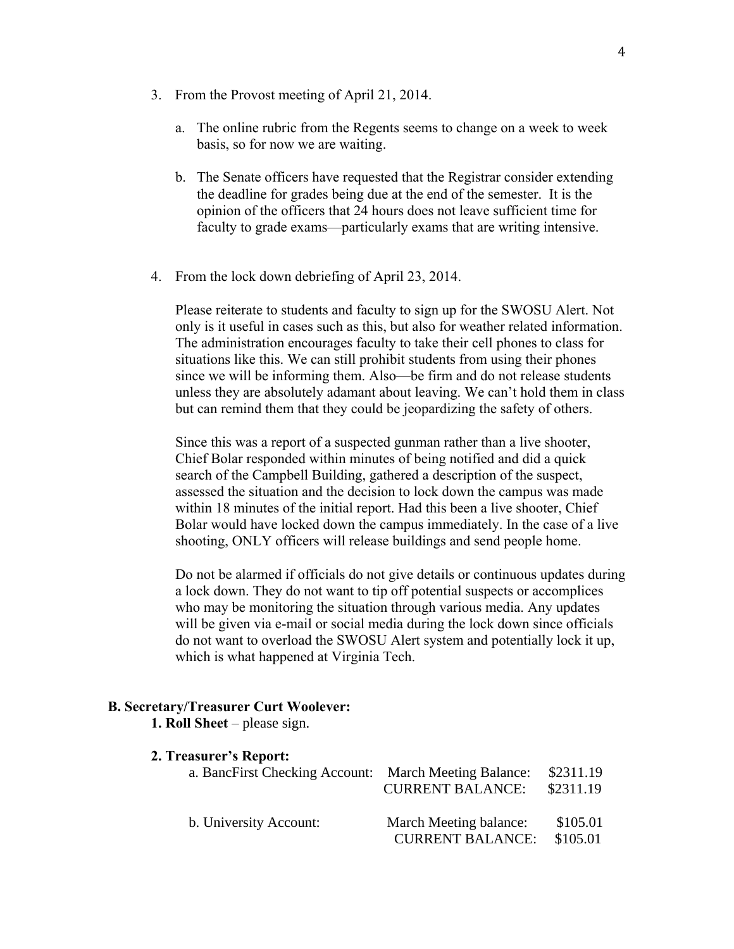- 3. From the Provost meeting of April 21, 2014.
	- a. The online rubric from the Regents seems to change on a week to week basis, so for now we are waiting.
	- b. The Senate officers have requested that the Registrar consider extending the deadline for grades being due at the end of the semester. It is the opinion of the officers that 24 hours does not leave sufficient time for faculty to grade exams—particularly exams that are writing intensive.
- 4. From the lock down debriefing of April 23, 2014.

Please reiterate to students and faculty to sign up for the SWOSU Alert. Not only is it useful in cases such as this, but also for weather related information. The administration encourages faculty to take their cell phones to class for situations like this. We can still prohibit students from using their phones since we will be informing them. Also—be firm and do not release students unless they are absolutely adamant about leaving. We can't hold them in class but can remind them that they could be jeopardizing the safety of others.

Since this was a report of a suspected gunman rather than a live shooter, Chief Bolar responded within minutes of being notified and did a quick search of the Campbell Building, gathered a description of the suspect, assessed the situation and the decision to lock down the campus was made within 18 minutes of the initial report. Had this been a live shooter, Chief Bolar would have locked down the campus immediately. In the case of a live shooting, ONLY officers will release buildings and send people home.

Do not be alarmed if officials do not give details or continuous updates during a lock down. They do not want to tip off potential suspects or accomplices who may be monitoring the situation through various media. Any updates will be given via e-mail or social media during the lock down since officials do not want to overload the SWOSU Alert system and potentially lock it up, which is what happened at Virginia Tech.

#### **B. Secretary/Treasurer Curt Woolever:**

**1. Roll Sheet** – please sign.

| 2. Treasurer's Report: |  |
|------------------------|--|
|------------------------|--|

| a. BancFirst Checking Account: March Meeting Balance: | <b>CURRENT BALANCE:</b>                           | \$2311.19<br>\$2311.19 |
|-------------------------------------------------------|---------------------------------------------------|------------------------|
| b. University Account:                                | March Meeting balance:<br><b>CURRENT BALANCE:</b> | \$105.01<br>\$105.01   |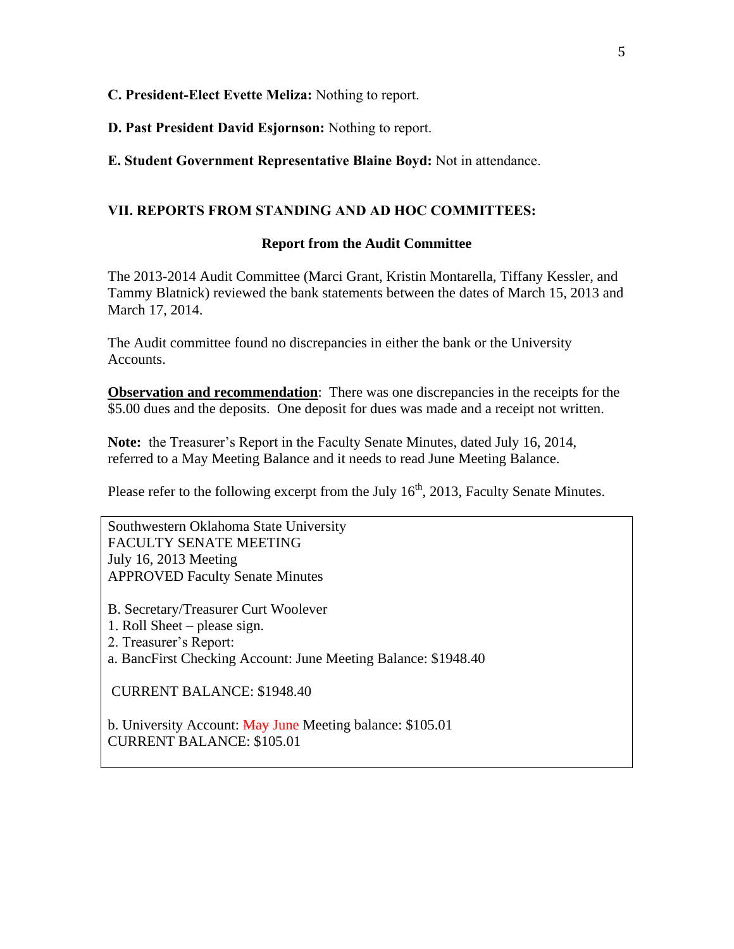## **C. President-Elect Evette Meliza:** Nothing to report.

**D. Past President David Esjornson:** Nothing to report.

**E. Student Government Representative Blaine Boyd:** Not in attendance.

## **VII. REPORTS FROM STANDING AND AD HOC COMMITTEES:**

### **Report from the Audit Committee**

The 2013-2014 Audit Committee (Marci Grant, Kristin Montarella, Tiffany Kessler, and Tammy Blatnick) reviewed the bank statements between the dates of March 15, 2013 and March 17, 2014.

The Audit committee found no discrepancies in either the bank or the University Accounts.

**Observation and recommendation**: There was one discrepancies in the receipts for the \$5.00 dues and the deposits. One deposit for dues was made and a receipt not written.

**Note:** the Treasurer's Report in the Faculty Senate Minutes, dated July 16, 2014, referred to a May Meeting Balance and it needs to read June Meeting Balance.

Please refer to the following excerpt from the July  $16<sup>th</sup>$ , 2013, Faculty Senate Minutes.

Southwestern Oklahoma State University FACULTY SENATE MEETING July 16, 2013 Meeting APPROVED Faculty Senate Minutes

- B. Secretary/Treasurer Curt Woolever
- 1. Roll Sheet please sign.
- 2. Treasurer's Report:
- a. BancFirst Checking Account: June Meeting Balance: \$1948.40

CURRENT BALANCE: \$1948.40

b. University Account: May June Meeting balance: \$105.01 CURRENT BALANCE: \$105.01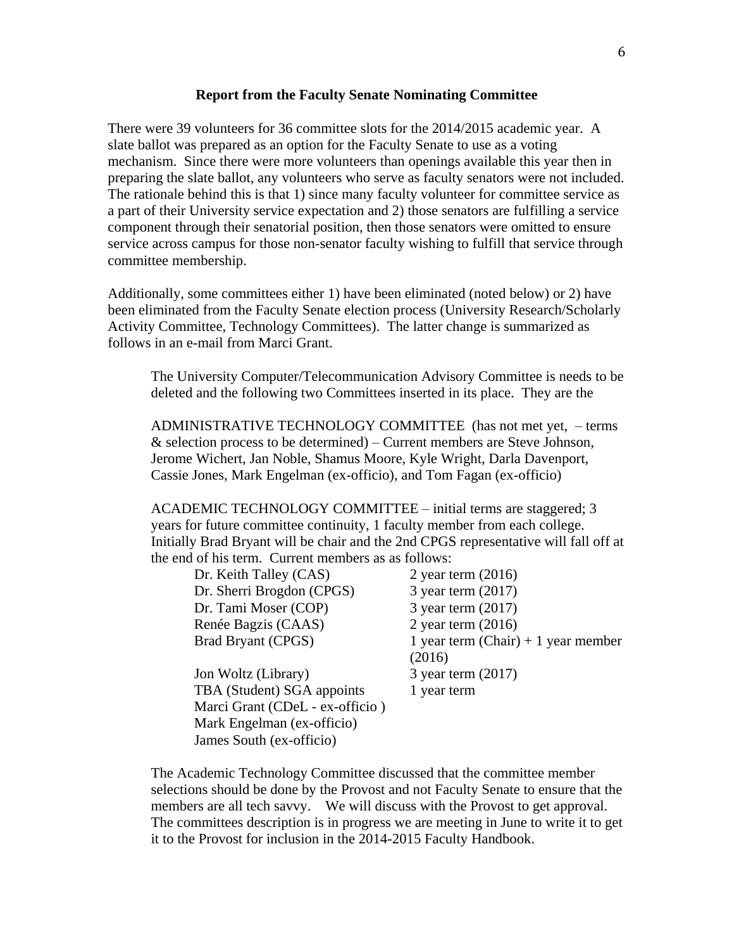#### **Report from the Faculty Senate Nominating Committee**

There were 39 volunteers for 36 committee slots for the 2014/2015 academic year. A slate ballot was prepared as an option for the Faculty Senate to use as a voting mechanism. Since there were more volunteers than openings available this year then in preparing the slate ballot, any volunteers who serve as faculty senators were not included. The rationale behind this is that 1) since many faculty volunteer for committee service as a part of their University service expectation and 2) those senators are fulfilling a service component through their senatorial position, then those senators were omitted to ensure service across campus for those non-senator faculty wishing to fulfill that service through committee membership.

Additionally, some committees either 1) have been eliminated (noted below) or 2) have been eliminated from the Faculty Senate election process (University Research/Scholarly Activity Committee, Technology Committees). The latter change is summarized as follows in an e-mail from Marci Grant.

The University Computer/Telecommunication Advisory Committee is needs to be deleted and the following two Committees inserted in its place. They are the

ADMINISTRATIVE TECHNOLOGY COMMITTEE (has not met yet, – terms  $&$  selection process to be determined) – Current members are Steve Johnson, Jerome Wichert, Jan Noble, Shamus Moore, Kyle Wright, Darla Davenport, Cassie Jones, Mark Engelman (ex-officio), and Tom Fagan (ex-officio)

ACADEMIC TECHNOLOGY COMMITTEE – initial terms are staggered; 3 years for future committee continuity, 1 faculty member from each college. Initially Brad Bryant will be chair and the 2nd CPGS representative will fall off at the end of his term. Current members as as follows:

| Dr. Keith Talley (CAS)          | 2 year term $(2016)$                  |
|---------------------------------|---------------------------------------|
| Dr. Sherri Brogdon (CPGS)       | 3 year term $(2017)$                  |
| Dr. Tami Moser (COP)            | 3 year term $(2017)$                  |
| Renée Bagzis (CAAS)             | 2 year term $(2016)$                  |
| Brad Bryant (CPGS)              | 1 year term $(Chair) + 1$ year member |
|                                 | (2016)                                |
| Jon Woltz (Library)             | 3 year term (2017)                    |
| TBA (Student) SGA appoints      | 1 year term                           |
| Marci Grant (CDeL - ex-officio) |                                       |
| Mark Engelman (ex-officio)      |                                       |
| James South (ex-officio)        |                                       |

The Academic Technology Committee discussed that the committee member selections should be done by the Provost and not Faculty Senate to ensure that the members are all tech savvy. We will discuss with the Provost to get approval. The committees description is in progress we are meeting in June to write it to get it to the Provost for inclusion in the 2014-2015 Faculty Handbook.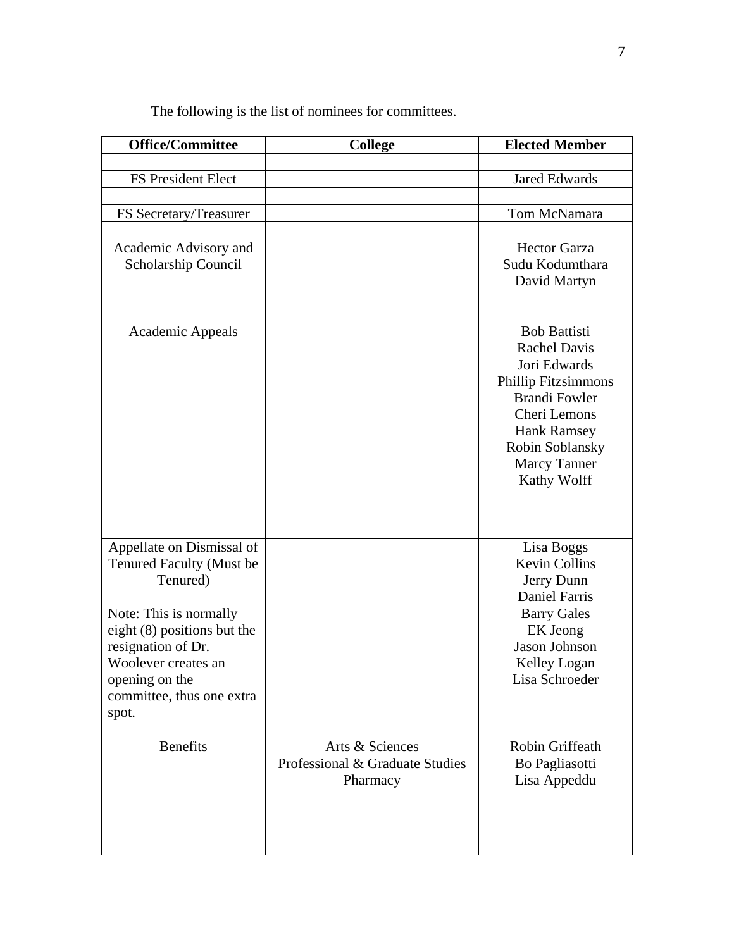| <b>Office/Committee</b>       | <b>College</b>                  | <b>Elected Member</b>                              |
|-------------------------------|---------------------------------|----------------------------------------------------|
|                               |                                 |                                                    |
| FS President Elect            |                                 | <b>Jared Edwards</b>                               |
|                               |                                 |                                                    |
| FS Secretary/Treasurer        |                                 | Tom McNamara                                       |
| Academic Advisory and         |                                 | <b>Hector Garza</b>                                |
| Scholarship Council           |                                 | Sudu Kodumthara                                    |
|                               |                                 | David Martyn                                       |
|                               |                                 |                                                    |
| Academic Appeals              |                                 | <b>Bob Battisti</b>                                |
|                               |                                 | <b>Rachel Davis</b>                                |
|                               |                                 | Jori Edwards                                       |
|                               |                                 | <b>Phillip Fitzsimmons</b><br><b>Brandi Fowler</b> |
|                               |                                 | Cheri Lemons                                       |
|                               |                                 | <b>Hank Ramsey</b>                                 |
|                               |                                 | Robin Soblansky                                    |
|                               |                                 | <b>Marcy Tanner</b>                                |
|                               |                                 | Kathy Wolff                                        |
|                               |                                 |                                                    |
|                               |                                 |                                                    |
| Appellate on Dismissal of     |                                 | Lisa Boggs                                         |
| Tenured Faculty (Must be      |                                 | <b>Kevin Collins</b>                               |
| Tenured)                      |                                 | Jerry Dunn                                         |
|                               |                                 | <b>Daniel Farris</b>                               |
| Note: This is normally        |                                 | <b>Barry Gales</b>                                 |
| eight $(8)$ positions but the |                                 | EK Jeong                                           |
| resignation of Dr.            |                                 | Jason Johnson                                      |
| Woolever creates an           |                                 | Kelley Logan                                       |
| opening on the                |                                 | Lisa Schroeder                                     |
| committee, thus one extra     |                                 |                                                    |
| spot.                         |                                 |                                                    |
| <b>Benefits</b>               | Arts & Sciences                 | Robin Griffeath                                    |
|                               | Professional & Graduate Studies | Bo Pagliasotti                                     |
|                               | Pharmacy                        | Lisa Appeddu                                       |
|                               |                                 |                                                    |
|                               |                                 |                                                    |
|                               |                                 |                                                    |

The following is the list of nominees for committees.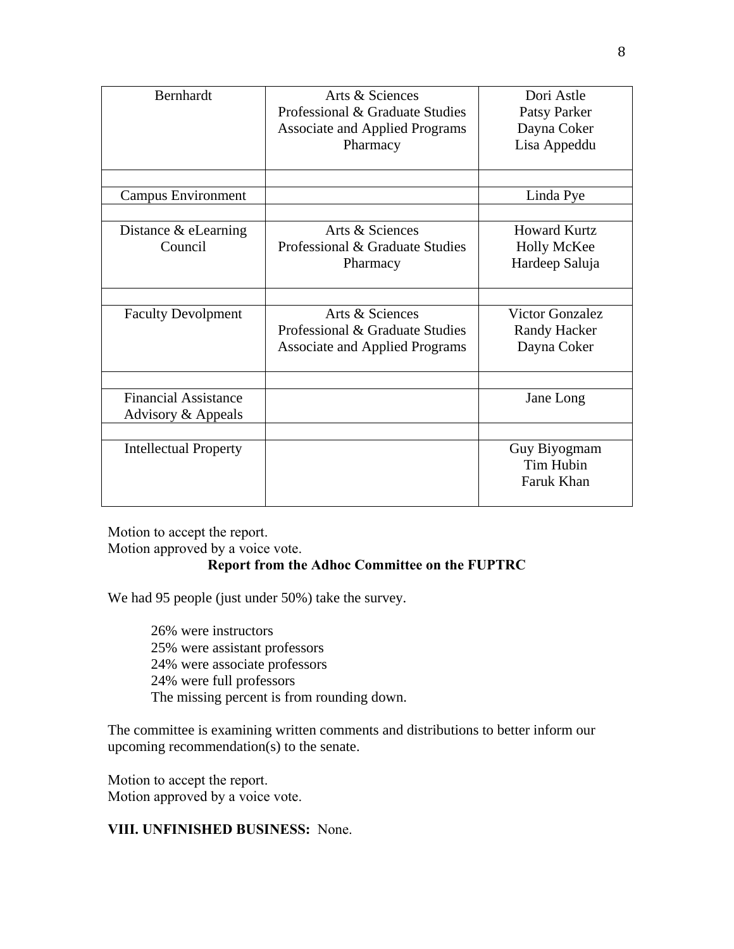| Bernhardt                    | Arts & Sciences                       | Dori Astle             |
|------------------------------|---------------------------------------|------------------------|
|                              | Professional & Graduate Studies       | Patsy Parker           |
|                              | <b>Associate and Applied Programs</b> | Dayna Coker            |
|                              | Pharmacy                              | Lisa Appeddu           |
|                              |                                       |                        |
|                              |                                       |                        |
| Campus Environment           |                                       | Linda Pye              |
|                              |                                       |                        |
| Distance $&$ eLearning       | Arts & Sciences                       | <b>Howard Kurtz</b>    |
| Council                      | Professional & Graduate Studies       | <b>Holly McKee</b>     |
|                              | Pharmacy                              | Hardeep Saluja         |
|                              |                                       |                        |
|                              |                                       |                        |
| <b>Faculty Devolpment</b>    | Arts & Sciences                       | <b>Victor Gonzalez</b> |
|                              | Professional & Graduate Studies       | <b>Randy Hacker</b>    |
|                              | <b>Associate and Applied Programs</b> | Dayna Coker            |
|                              |                                       |                        |
|                              |                                       |                        |
| <b>Financial Assistance</b>  |                                       | Jane Long              |
| Advisory & Appeals           |                                       |                        |
|                              |                                       |                        |
| <b>Intellectual Property</b> |                                       | Guy Biyogmam           |
|                              |                                       | Tim Hubin              |
|                              |                                       | Faruk Khan             |
|                              |                                       |                        |

Motion to accept the report.

Motion approved by a voice vote.

## **Report from the Adhoc Committee on the FUPTRC**

We had 95 people (just under 50%) take the survey.

26% were instructors 25% were assistant professors 24% were associate professors 24% were full professors The missing percent is from rounding down.

The committee is examining written comments and distributions to better inform our upcoming recommendation(s) to the senate.

Motion to accept the report. Motion approved by a voice vote.

**VIII. UNFINISHED BUSINESS:** None.